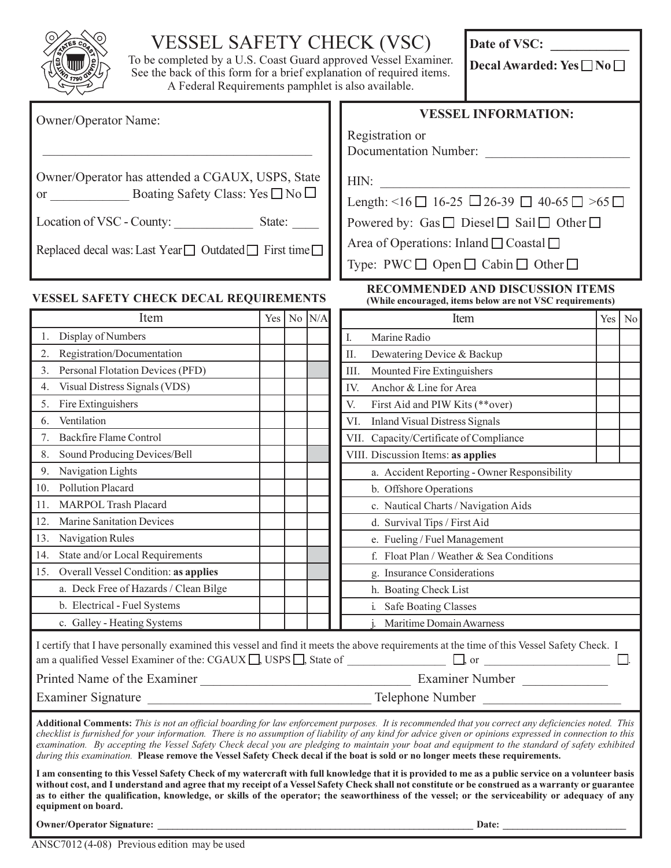| ES C<br>79 |
|------------|
|            |

## VESSEL SAFETY CHECK (VSC)

To be completed by a U.S. Coast Guard approved Vessel Examiner. See the back of this form for a brief explanation of required items. A Federal Requirements pamphlet is also available.

Date of VSC: \_\_\_\_\_\_\_\_\_\_\_\_

Decal Awarded: Yes  $\square$  No  $\square$ 

| Owner/Operator Name:                                                                                      |  |  |                                                                               | <b>VESSEL INFORMATION:</b><br>Registration or                                                                                                                                                                                                                                                                                                                                                                                                                                                                                                                                                           |     |    |  |  |
|-----------------------------------------------------------------------------------------------------------|--|--|-------------------------------------------------------------------------------|---------------------------------------------------------------------------------------------------------------------------------------------------------------------------------------------------------------------------------------------------------------------------------------------------------------------------------------------------------------------------------------------------------------------------------------------------------------------------------------------------------------------------------------------------------------------------------------------------------|-----|----|--|--|
|                                                                                                           |  |  |                                                                               | Documentation Number:                                                                                                                                                                                                                                                                                                                                                                                                                                                                                                                                                                                   |     |    |  |  |
| Owner/Operator has attended a CGAUX, USPS, State<br>or _________________ Boating Safety Class: Yes □ No □ |  |  |                                                                               | HIN:                                                                                                                                                                                                                                                                                                                                                                                                                                                                                                                                                                                                    |     |    |  |  |
|                                                                                                           |  |  | Length: $\leq 16$ $\Box$ 16-25 $\Box$ 26-39 $\Box$ 40-65 $\Box$ $>$ 65 $\Box$ |                                                                                                                                                                                                                                                                                                                                                                                                                                                                                                                                                                                                         |     |    |  |  |
|                                                                                                           |  |  | Powered by: Gas $\Box$ Diesel $\Box$ Sail $\Box$ Other $\Box$                 |                                                                                                                                                                                                                                                                                                                                                                                                                                                                                                                                                                                                         |     |    |  |  |
| Replaced decal was: Last Year □ Outdated □ First time □                                                   |  |  |                                                                               | Area of Operations: Inland $\Box$ Coastal $\Box$                                                                                                                                                                                                                                                                                                                                                                                                                                                                                                                                                        |     |    |  |  |
|                                                                                                           |  |  |                                                                               | Type: PWC $\Box$ Open $\Box$ Cabin $\Box$ Other $\Box$                                                                                                                                                                                                                                                                                                                                                                                                                                                                                                                                                  |     |    |  |  |
| VESSEL SAFETY CHECK DECAL REQUIREMENTS                                                                    |  |  |                                                                               | <b>RECOMMENDED AND DISCUSSION ITEMS</b><br>(While encouraged, items below are not VSC requirements)                                                                                                                                                                                                                                                                                                                                                                                                                                                                                                     |     |    |  |  |
| Item                                                                                                      |  |  | Yes   No $N/A$                                                                | Item                                                                                                                                                                                                                                                                                                                                                                                                                                                                                                                                                                                                    | Yes | No |  |  |
| 1. Display of Numbers                                                                                     |  |  |                                                                               | I.<br>Marine Radio                                                                                                                                                                                                                                                                                                                                                                                                                                                                                                                                                                                      |     |    |  |  |
| 2. Registration/Documentation                                                                             |  |  |                                                                               | Dewatering Device & Backup<br>П.                                                                                                                                                                                                                                                                                                                                                                                                                                                                                                                                                                        |     |    |  |  |
| 3. Personal Flotation Devices (PFD)                                                                       |  |  |                                                                               | Mounted Fire Extinguishers<br>III.                                                                                                                                                                                                                                                                                                                                                                                                                                                                                                                                                                      |     |    |  |  |
| Visual Distress Signals (VDS)<br>4.                                                                       |  |  |                                                                               | Anchor & Line for Area<br>IV.                                                                                                                                                                                                                                                                                                                                                                                                                                                                                                                                                                           |     |    |  |  |
| 5. Fire Extinguishers                                                                                     |  |  |                                                                               | V.<br>First Aid and PIW Kits (**over)                                                                                                                                                                                                                                                                                                                                                                                                                                                                                                                                                                   |     |    |  |  |
| Ventilation<br>6.                                                                                         |  |  |                                                                               | VI. Inland Visual Distress Signals                                                                                                                                                                                                                                                                                                                                                                                                                                                                                                                                                                      |     |    |  |  |
| <b>Backfire Flame Control</b><br>7.                                                                       |  |  |                                                                               | VII. Capacity/Certificate of Compliance                                                                                                                                                                                                                                                                                                                                                                                                                                                                                                                                                                 |     |    |  |  |
| Sound Producing Devices/Bell<br>8.                                                                        |  |  |                                                                               | VIII. Discussion Items: as applies                                                                                                                                                                                                                                                                                                                                                                                                                                                                                                                                                                      |     |    |  |  |
| 9. Navigation Lights                                                                                      |  |  |                                                                               | a. Accident Reporting - Owner Responsibility                                                                                                                                                                                                                                                                                                                                                                                                                                                                                                                                                            |     |    |  |  |
| 10. Pollution Placard                                                                                     |  |  |                                                                               | b. Offshore Operations                                                                                                                                                                                                                                                                                                                                                                                                                                                                                                                                                                                  |     |    |  |  |
| 11. MARPOL Trash Placard                                                                                  |  |  |                                                                               | c. Nautical Charts / Navigation Aids                                                                                                                                                                                                                                                                                                                                                                                                                                                                                                                                                                    |     |    |  |  |
| <b>Marine Sanitation Devices</b><br>12.                                                                   |  |  |                                                                               | d. Survival Tips / First Aid                                                                                                                                                                                                                                                                                                                                                                                                                                                                                                                                                                            |     |    |  |  |
| 13. Navigation Rules                                                                                      |  |  |                                                                               | e. Fueling / Fuel Management                                                                                                                                                                                                                                                                                                                                                                                                                                                                                                                                                                            |     |    |  |  |
| 14. State and/or Local Requirements                                                                       |  |  |                                                                               | f. Float Plan / Weather & Sea Conditions                                                                                                                                                                                                                                                                                                                                                                                                                                                                                                                                                                |     |    |  |  |
| 15. Overall Vessel Condition: as applies                                                                  |  |  |                                                                               | g. Insurance Considerations                                                                                                                                                                                                                                                                                                                                                                                                                                                                                                                                                                             |     |    |  |  |
| a. Deck Free of Hazards / Clean Bilge                                                                     |  |  |                                                                               | h. Boating Check List                                                                                                                                                                                                                                                                                                                                                                                                                                                                                                                                                                                   |     |    |  |  |
| b. Electrical - Fuel Systems                                                                              |  |  |                                                                               | i. Safe Boating Classes                                                                                                                                                                                                                                                                                                                                                                                                                                                                                                                                                                                 |     |    |  |  |
| c. Galley - Heating Systems                                                                               |  |  |                                                                               | Maritime Domain Awarness                                                                                                                                                                                                                                                                                                                                                                                                                                                                                                                                                                                |     |    |  |  |
|                                                                                                           |  |  |                                                                               | I certify that I have personally examined this vessel and find it meets the above requirements at the time of this Vessel Safety Check. I<br>am a qualified Vessel Examiner of the: CGAUX $\Box$ , USPS $\Box$ , State of $\Box$ , or $\Box$ , or $\Box$                                                                                                                                                                                                                                                                                                                                                |     |    |  |  |
|                                                                                                           |  |  |                                                                               |                                                                                                                                                                                                                                                                                                                                                                                                                                                                                                                                                                                                         |     |    |  |  |
|                                                                                                           |  |  |                                                                               |                                                                                                                                                                                                                                                                                                                                                                                                                                                                                                                                                                                                         |     |    |  |  |
|                                                                                                           |  |  |                                                                               | Additional Comments: This is not an official boarding for law enforcement purposes. It is recommended that you correct any deficiencies noted. This<br>checklist is furnished for your information. There is no assumption of liability of any kind for advice given or opinions expressed in connection to this<br>examination. By accepting the Vessel Safety Check decal you are pledging to maintain your boat and equipment to the standard of safety exhibited<br>during this examination. Please remove the Vessel Safety Check decal if the boat is sold or no longer meets these requirements. |     |    |  |  |
| equipment on board.                                                                                       |  |  |                                                                               | I am consenting to this Vessel Safety Check of my watercraft with full knowledge that it is provided to me as a public service on a volunteer basis<br>without cost, and I understand and agree that my receipt of a Vessel Safety Check shall not constitute or be construed as a warranty or guarantee<br>as to either the qualification, knowledge, or skills of the operator; the seaworthiness of the vessel; or the serviceability or adequacy of any                                                                                                                                             |     |    |  |  |
| <b>Owner/Operator Signature:</b>                                                                          |  |  |                                                                               | Date:                                                                                                                                                                                                                                                                                                                                                                                                                                                                                                                                                                                                   |     |    |  |  |